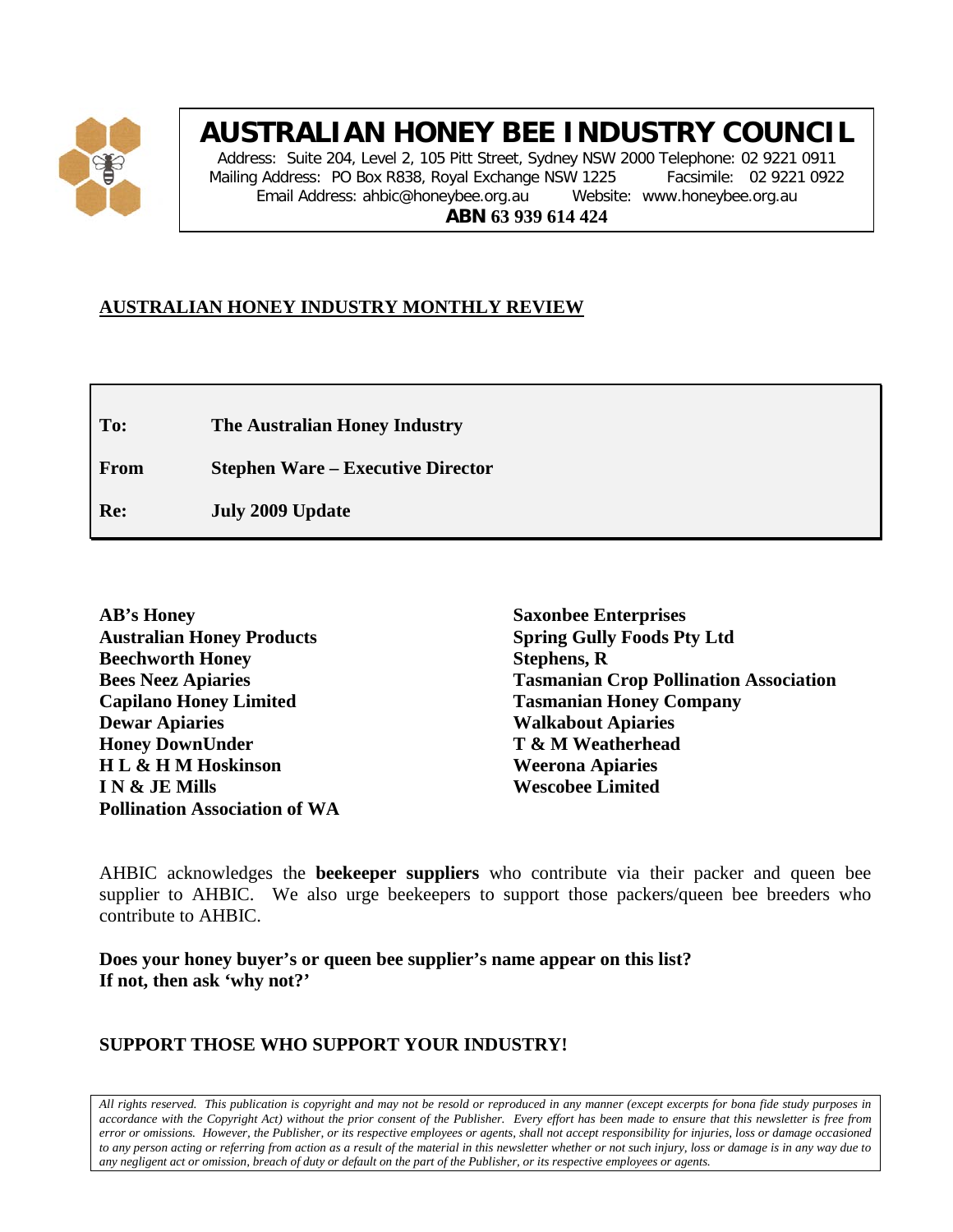

# **AUSTRALIAN HONEY BEE INDUSTRY COUNCIL**

Address: Suite 204, Level 2, 105 Pitt Street, Sydney NSW 2000 Telephone: 02 9221 0911 Mailing Address: PO Box R838, Royal Exchange NSW 1225 Facsimile: 02 9221 0922 Email Address: ahbic@honeybee.org.au Website: www.honeybee.org.au **ABN 63 939 614 424**

## **AUSTRALIAN HONEY INDUSTRY MONTHLY REVIEW**

**To: The Australian Honey Industry**

**From Stephen Ware – Executive Director**

**Re: July 2009 Update**

**Saxonbee Enterprises Spring Gully Foods Pty Ltd Stephens, R Tasmanian Crop Pollination Association Tasmanian Honey Company Walkabout Apiaries T & M Weatherhead Weerona Apiaries Wescobee Limited**

AHBIC acknowledges the **beekeeper suppliers** who contribute via their packer and queen bee supplier to AHBIC. We also urge beekeepers to support those packers/queen bee breeders who contribute to AHBIC.

**Does your honey buyer's or queen bee supplier's name appear on this list? If not, then ask 'why not?'**

## **SUPPORT THOSE WHO SUPPORT YOUR INDUSTRY!**

*All rights reserved. This publication is copyright and may not be resold or reproduced in any manner (except excerpts for bona fide study purposes in accordance with the Copyright Act) without the prior consent of the Publisher. Every effort has been made to ensure that this newsletter is free from error or omissions. However, the Publisher, or its respective employees or agents, shall not accept responsibility for injuries, loss or damage occasioned to any person acting or referring from action as a result of the material in this newsletter whether or not such injury, loss or damage is in any way due to any negligent act or omission, breach of duty or default on the part of the Publisher, or its respective employees or agents.*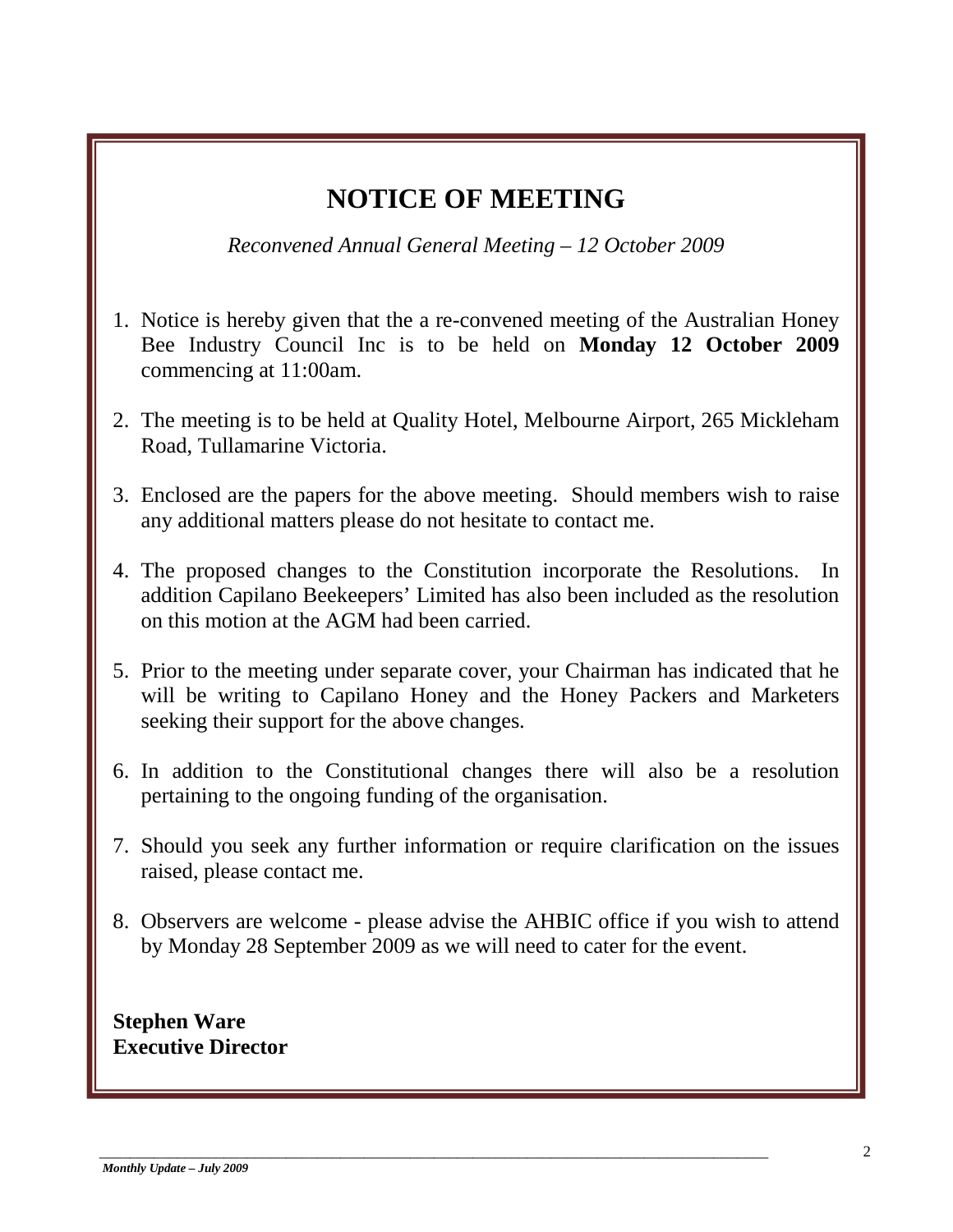## **NOTICE OF MEETING**

*Reconvened Annual General Meeting – 12 October 2009*

- 1. Notice is hereby given that the a re-convened meeting of the Australian Honey Bee Industry Council Inc is to be held on **Monday 12 October 2009** commencing at 11:00am.
- 2. The meeting is to be held at Quality Hotel, Melbourne Airport, 265 Mickleham Road, Tullamarine Victoria.
- 3. Enclosed are the papers for the above meeting. Should members wish to raise any additional matters please do not hesitate to contact me.
- 4. The proposed changes to the Constitution incorporate the Resolutions. In addition Capilano Beekeepers' Limited has also been included as the resolution on this motion at the AGM had been carried.
- 5. Prior to the meeting under separate cover, your Chairman has indicated that he will be writing to Capilano Honey and the Honey Packers and Marketers seeking their support for the above changes.
- 6. In addition to the Constitutional changes there will also be a resolution pertaining to the ongoing funding of the organisation.
- 7. Should you seek any further information or require clarification on the issues raised, please contact me.
- 8. Observers are welcome please advise the AHBIC office if you wish to attend by Monday 28 September 2009 as we will need to cater for the event.

\_\_\_\_\_\_\_\_\_\_\_\_\_\_\_\_\_\_\_\_\_\_\_\_\_\_\_\_\_\_\_\_\_\_\_\_\_\_\_\_\_\_\_\_\_\_\_\_\_\_\_\_\_\_\_\_\_\_\_\_\_\_\_\_\_\_\_\_\_\_\_\_\_\_\_\_\_\_\_\_\_\_\_\_\_\_

**Stephen Ware Executive Director**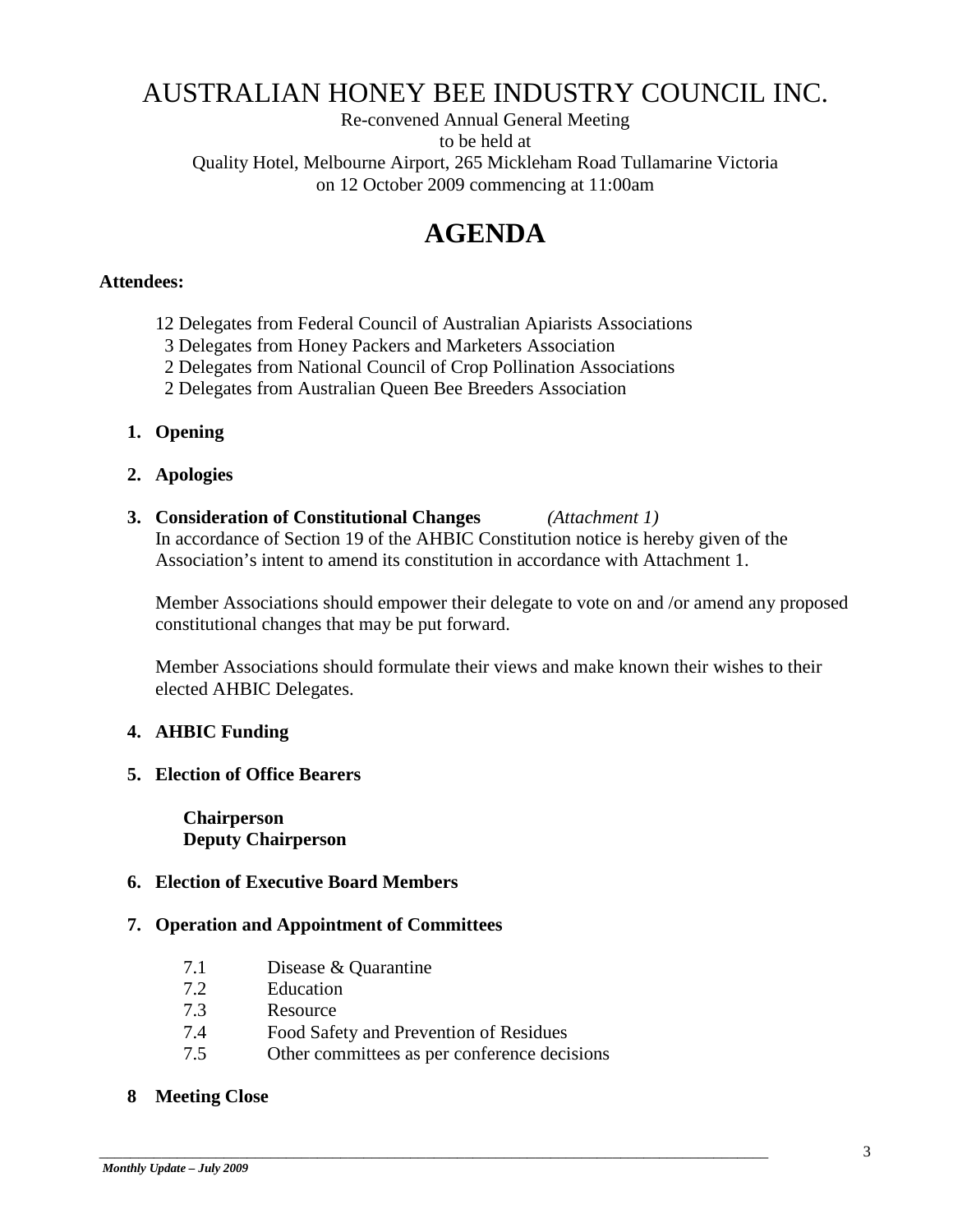## AUSTRALIAN HONEY BEE INDUSTRY COUNCIL INC.

Re-convened Annual General Meeting to be held at Quality Hotel, Melbourne Airport, 265 Mickleham Road Tullamarine Victoria on 12 October 2009 commencing at 11:00am

## **AGENDA**

#### **Attendees:**

- 12 Delegates from Federal Council of Australian Apiarists Associations
- 3 Delegates from Honey Packers and Marketers Association
- 2 Delegates from National Council of Crop Pollination Associations
- 2 Delegates from Australian Queen Bee Breeders Association
- **1. Opening**
- **2. Apologies**
- **3. Consideration of Constitutional Changes** *(Attachment 1)* In accordance of Section 19 of the AHBIC Constitution notice is hereby given of the Association's intent to amend its constitution in accordance with Attachment 1.

Member Associations should empower their delegate to vote on and /or amend any proposed constitutional changes that may be put forward.

Member Associations should formulate their views and make known their wishes to their elected AHBIC Delegates.

#### **4. AHBIC Funding**

**5. Election of Office Bearers**

**Chairperson Deputy Chairperson**

### **6. Election of Executive Board Members**

#### **7. Operation and Appointment of Committees**

- 7.1 Disease & Quarantine
- 7.2 Education
- 7.3 Resource
- 7.4 Food Safety and Prevention of Residues
- 7.5 Other committees as per conference decisions

\_\_\_\_\_\_\_\_\_\_\_\_\_\_\_\_\_\_\_\_\_\_\_\_\_\_\_\_\_\_\_\_\_\_\_\_\_\_\_\_\_\_\_\_\_\_\_\_\_\_\_\_\_\_\_\_\_\_\_\_\_\_\_\_\_\_\_\_\_\_\_\_\_\_\_\_\_\_\_\_\_\_\_\_\_\_

#### **8 Meeting Close**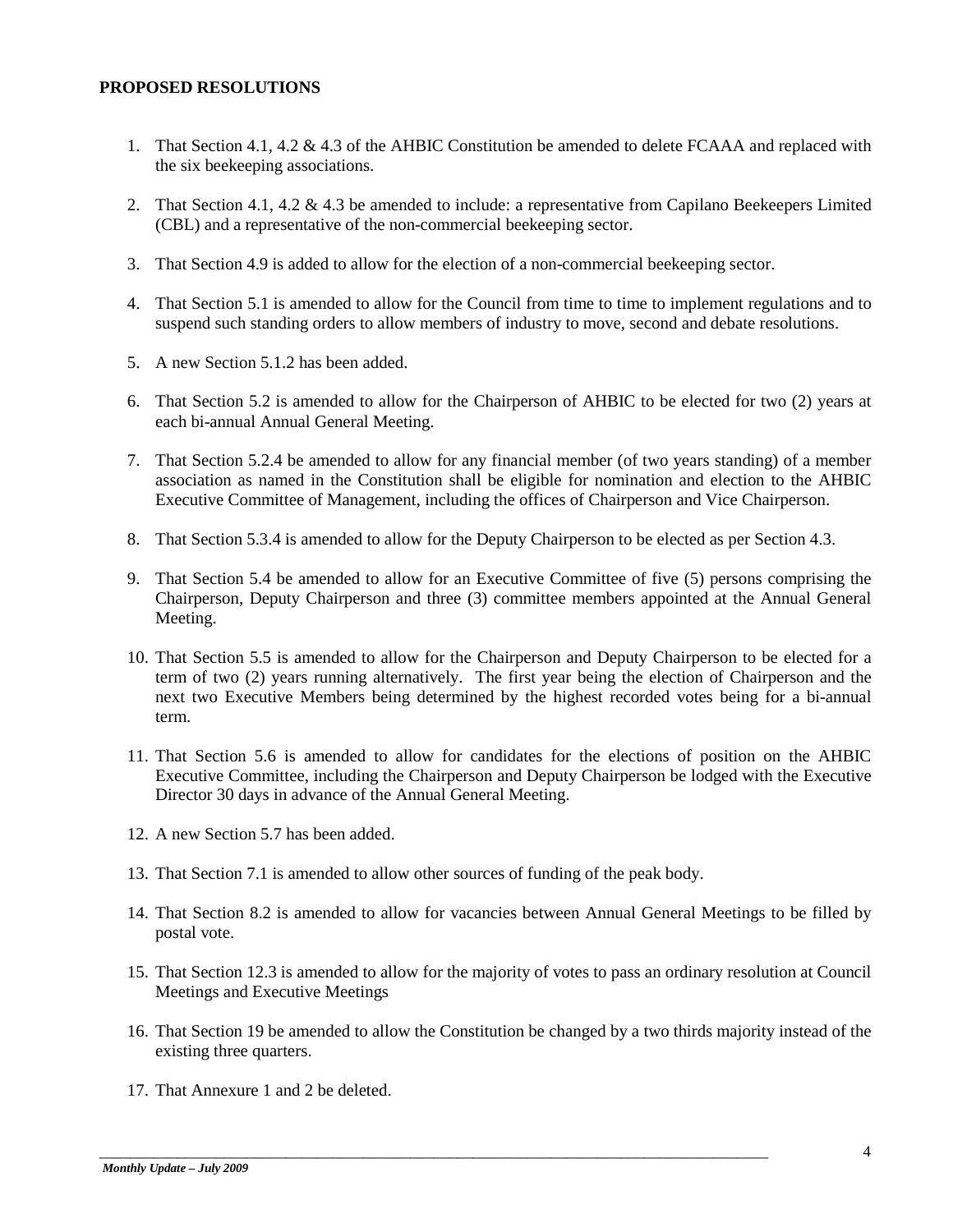#### **PROPOSED RESOLUTIONS**

- 1. That Section 4.1, 4.2 & 4.3 of the AHBIC Constitution be amended to delete FCAAA and replaced with the six beekeeping associations.
- 2. That Section 4.1, 4.2 & 4.3 be amended to include: a representative from Capilano Beekeepers Limited (CBL) and a representative of the non-commercial beekeeping sector.
- 3. That Section 4.9 is added to allow for the election of a non-commercial beekeeping sector.
- 4. That Section 5.1 is amended to allow for the Council from time to time to implement regulations and to suspend such standing orders to allow members of industry to move, second and debate resolutions.
- 5. A new Section 5.1.2 has been added.
- 6. That Section 5.2 is amended to allow for the Chairperson of AHBIC to be elected for two (2) years at each bi-annual Annual General Meeting.
- 7. That Section 5.2.4 be amended to allow for any financial member (of two years standing) of a member association as named in the Constitution shall be eligible for nomination and election to the AHBIC Executive Committee of Management, including the offices of Chairperson and Vice Chairperson.
- 8. That Section 5.3.4 is amended to allow for the Deputy Chairperson to be elected as per Section 4.3.
- 9. That Section 5.4 be amended to allow for an Executive Committee of five (5) persons comprising the Chairperson, Deputy Chairperson and three (3) committee members appointed at the Annual General Meeting.
- 10. That Section 5.5 is amended to allow for the Chairperson and Deputy Chairperson to be elected for a term of two (2) years running alternatively. The first year being the election of Chairperson and the next two Executive Members being determined by the highest recorded votes being for a bi-annual term.
- 11. That Section 5.6 is amended to allow for candidates for the elections of position on the AHBIC Executive Committee, including the Chairperson and Deputy Chairperson be lodged with the Executive Director 30 days in advance of the Annual General Meeting.
- 12. A new Section 5.7 has been added.
- 13. That Section 7.1 is amended to allow other sources of funding of the peak body.

- 14. That Section 8.2 is amended to allow for vacancies between Annual General Meetings to be filled by postal vote.
- 15. That Section 12.3 is amended to allow for the majority of votes to pass an ordinary resolution at Council Meetings and Executive Meetings
- 16. That Section 19 be amended to allow the Constitution be changed by a two thirds majority instead of the existing three quarters.
- 17. That Annexure 1 and 2 be deleted.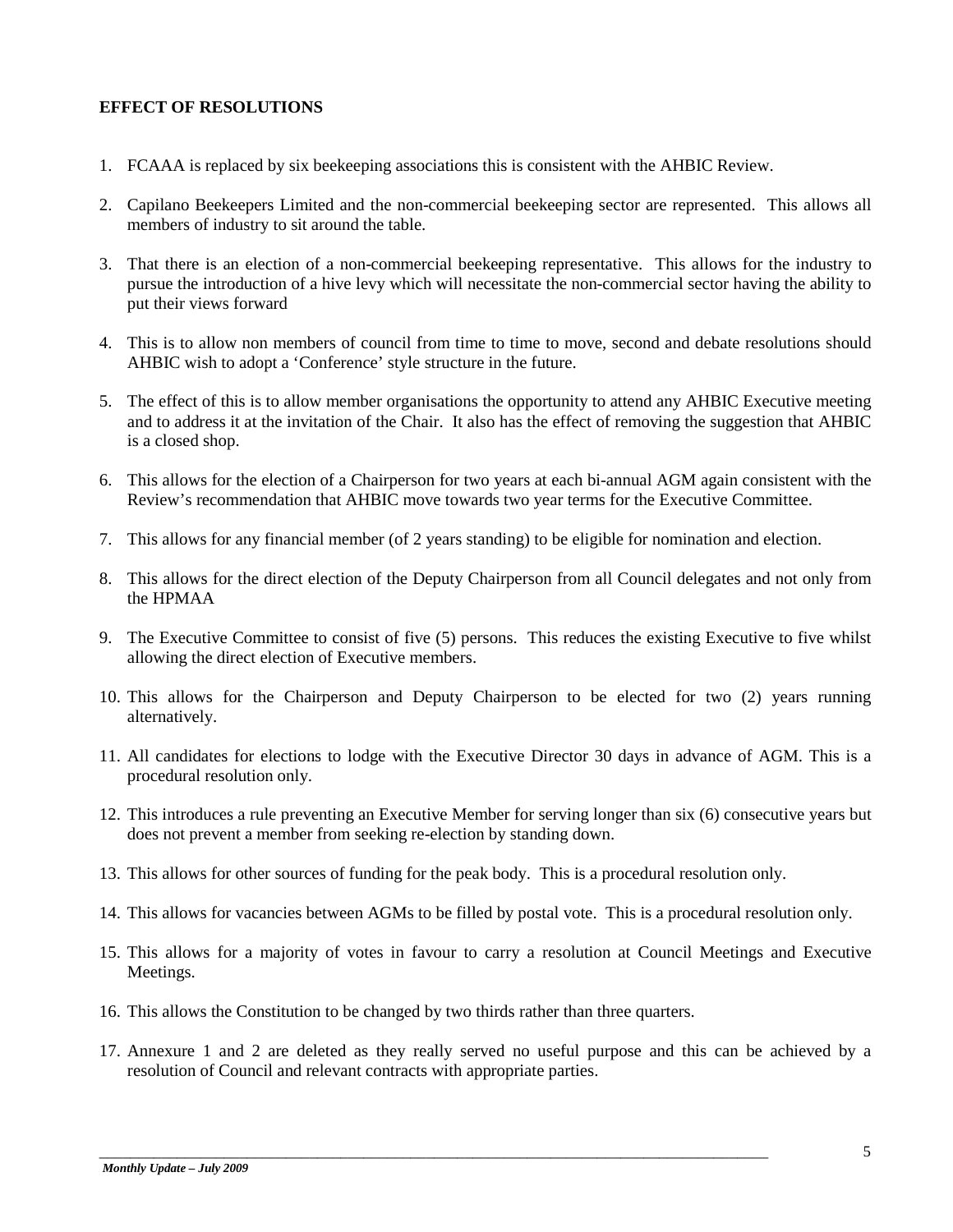#### **EFFECT OF RESOLUTIONS**

- 1. FCAAA is replaced by six beekeeping associations this is consistent with the AHBIC Review.
- 2. Capilano Beekeepers Limited and the non-commercial beekeeping sector are represented. This allows all members of industry to sit around the table.
- 3. That there is an election of a non-commercial beekeeping representative. This allows for the industry to pursue the introduction of a hive levy which will necessitate the non-commercial sector having the ability to put their views forward
- 4. This is to allow non members of council from time to time to move, second and debate resolutions should AHBIC wish to adopt a 'Conference' style structure in the future.
- 5. The effect of this is to allow member organisations the opportunity to attend any AHBIC Executive meeting and to address it at the invitation of the Chair. It also has the effect of removing the suggestion that AHBIC is a closed shop.
- 6. This allows for the election of a Chairperson for two years at each bi-annual AGM again consistent with the Review's recommendation that AHBIC move towards two year terms for the Executive Committee.
- 7. This allows for any financial member (of 2 years standing) to be eligible for nomination and election.
- 8. This allows for the direct election of the Deputy Chairperson from all Council delegates and not only from the HPMAA
- 9. The Executive Committee to consist of five (5) persons. This reduces the existing Executive to five whilst allowing the direct election of Executive members.
- 10. This allows for the Chairperson and Deputy Chairperson to be elected for two (2) years running alternatively.
- 11. All candidates for elections to lodge with the Executive Director 30 days in advance of AGM. This is a procedural resolution only.
- 12. This introduces a rule preventing an Executive Member for serving longer than six (6) consecutive years but does not prevent a member from seeking re-election by standing down.
- 13. This allows for other sources of funding for the peak body. This is a procedural resolution only.
- 14. This allows for vacancies between AGMs to be filled by postal vote. This is a procedural resolution only.
- 15. This allows for a majority of votes in favour to carry a resolution at Council Meetings and Executive Meetings.
- 16. This allows the Constitution to be changed by two thirds rather than three quarters.

\_\_\_\_\_\_\_\_\_\_\_\_\_\_\_\_\_\_\_\_\_\_\_\_\_\_\_\_\_\_\_\_\_\_\_\_\_\_\_\_\_\_\_\_\_\_\_\_\_\_\_\_\_\_\_\_\_\_\_\_\_\_\_\_\_\_\_\_\_\_\_\_\_\_\_\_\_\_\_\_\_\_\_\_\_\_

17. Annexure 1 and 2 are deleted as they really served no useful purpose and this can be achieved by a resolution of Council and relevant contracts with appropriate parties.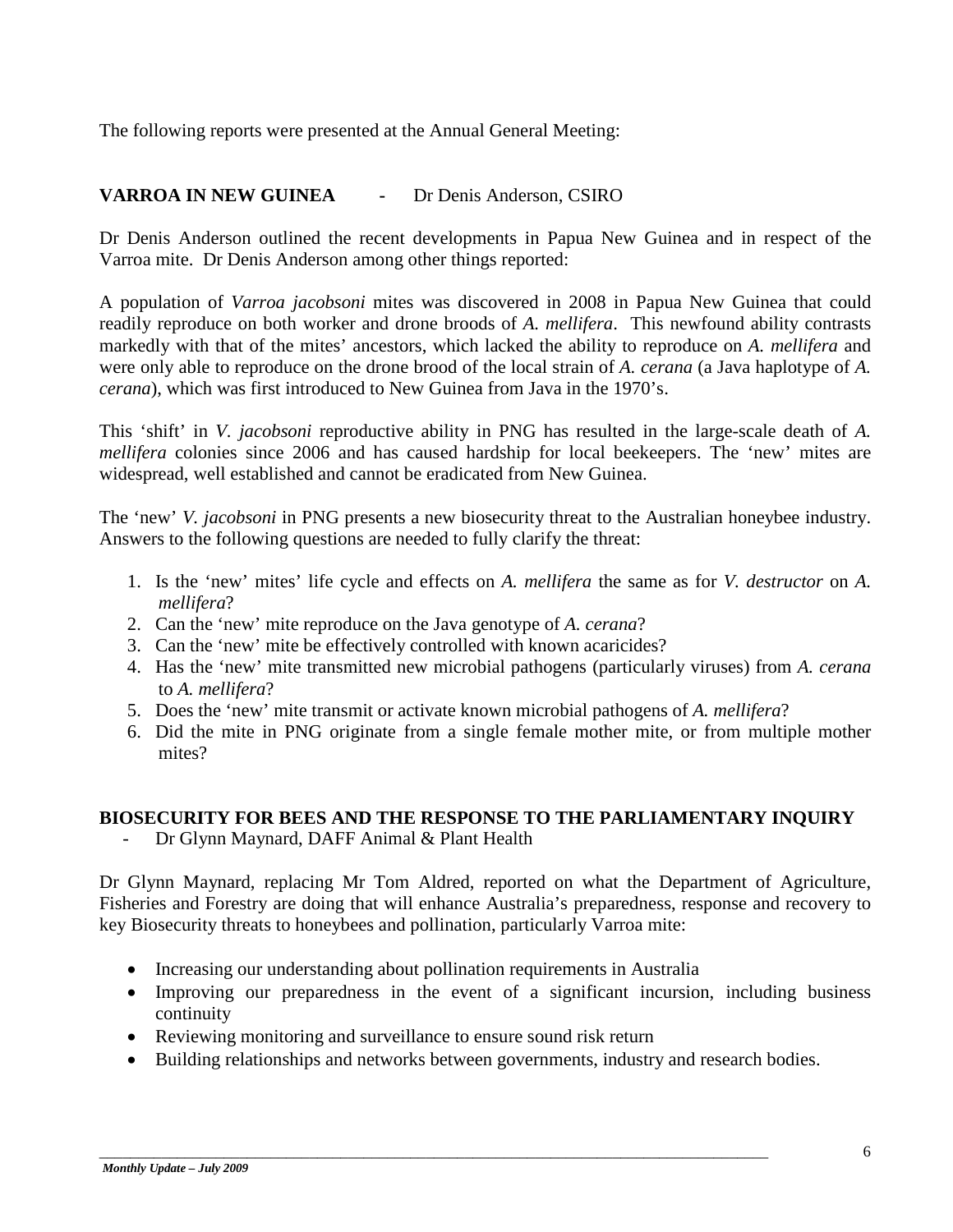The following reports were presented at the Annual General Meeting:

## **VARROA IN NEW GUINEA -** Dr Denis Anderson, CSIRO

Dr Denis Anderson outlined the recent developments in Papua New Guinea and in respect of the Varroa mite. Dr Denis Anderson among other things reported:

A population of *Varroa jacobsoni* mites was discovered in 2008 in Papua New Guinea that could readily reproduce on both worker and drone broods of *A. mellifera*. This newfound ability contrasts markedly with that of the mites' ancestors, which lacked the ability to reproduce on *A. mellifera* and were only able to reproduce on the drone brood of the local strain of *A. cerana* (a Java haplotype of *A. cerana*), which was first introduced to New Guinea from Java in the 1970's.

This 'shift' in *V. jacobsoni* reproductive ability in PNG has resulted in the large-scale death of *A. mellifera* colonies since 2006 and has caused hardship for local beekeepers. The 'new' mites are widespread, well established and cannot be eradicated from New Guinea.

The 'new' *V. jacobsoni* in PNG presents a new biosecurity threat to the Australian honeybee industry. Answers to the following questions are needed to fully clarify the threat:

- 1. Is the 'new' mites' life cycle and effects on *A. mellifera* the same as for *V. destructor* on *A. mellifera*?
- 2. Can the 'new' mite reproduce on the Java genotype of *A. cerana*?
- 3. Can the 'new' mite be effectively controlled with known acaricides?
- 4. Has the 'new' mite transmitted new microbial pathogens (particularly viruses) from *A. cerana* to *A. mellifera*?
- 5. Does the 'new' mite transmit or activate known microbial pathogens of *A. mellifera*?
- 6. Did the mite in PNG originate from a single female mother mite, or from multiple mother mites?

#### **BIOSECURITY FOR BEES AND THE RESPONSE TO THE PARLIAMENTARY INQUIRY**

Dr Glynn Maynard, DAFF Animal & Plant Health

Dr Glynn Maynard, replacing Mr Tom Aldred, reported on what the Department of Agriculture, Fisheries and Forestry are doing that will enhance Australia's preparedness, response and recovery to key Biosecurity threats to honeybees and pollination, particularly Varroa mite:

• Increasing our understanding about pollination requirements in Australia

- Improving our preparedness in the event of a significant incursion, including business continuity
- Reviewing monitoring and surveillance to ensure sound risk return
- Building relationships and networks between governments, industry and research bodies.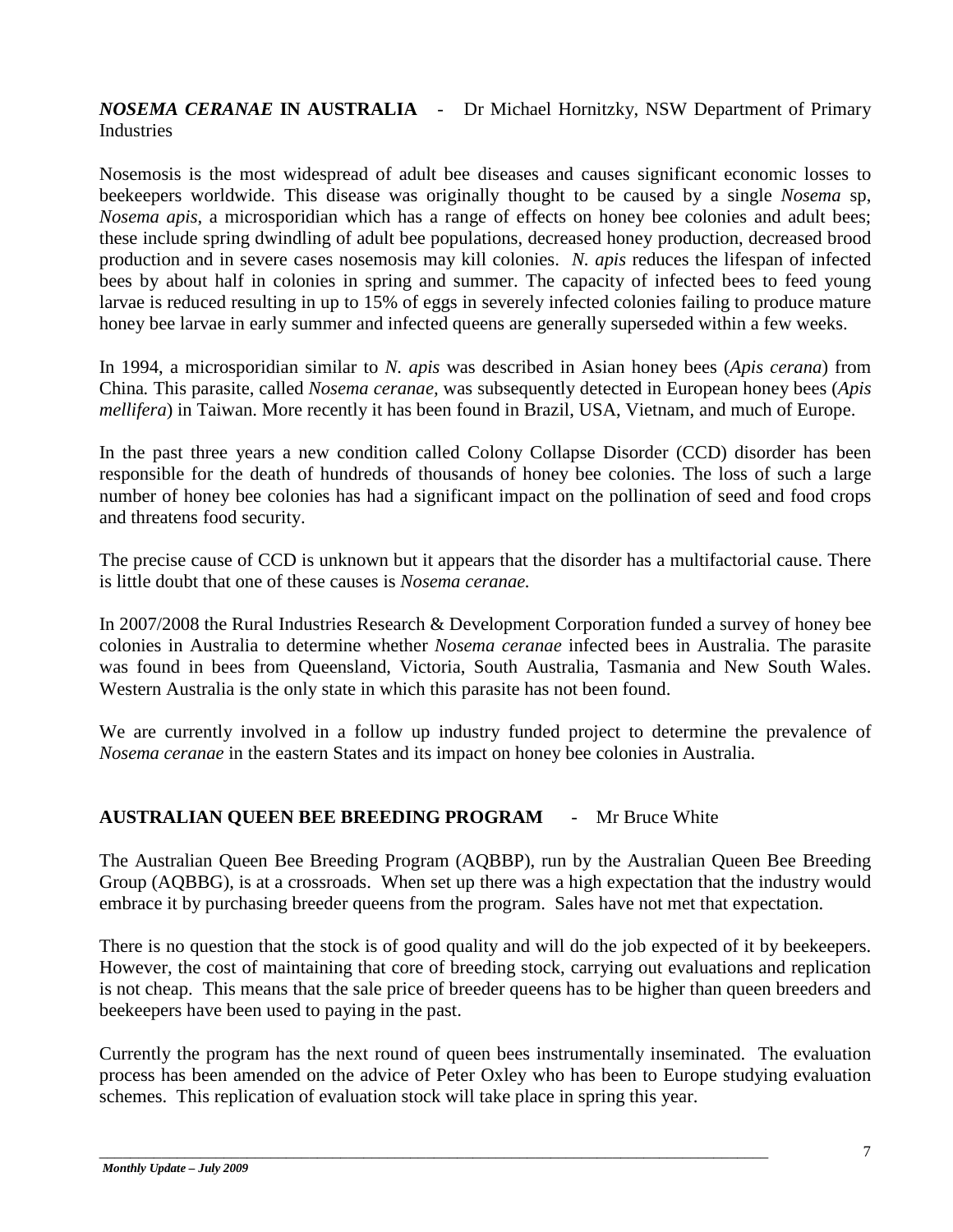## *NOSEMA CERANAE* **IN AUSTRALIA** - Dr Michael Hornitzky, NSW Department of Primary Industries

Nosemosis is the most widespread of adult bee diseases and causes significant economic losses to beekeepers worldwide. This disease was originally thought to be caused by a single *Nosema* sp, *Nosema apis*, a microsporidian which has a range of effects on honey bee colonies and adult bees; these include spring dwindling of adult bee populations, decreased honey production, decreased brood production and in severe cases nosemosis may kill colonies. *N. apis* reduces the lifespan of infected bees by about half in colonies in spring and summer. The capacity of infected bees to feed young larvae is reduced resulting in up to 15% of eggs in severely infected colonies failing to produce mature honey bee larvae in early summer and infected queens are generally superseded within a few weeks.

In 1994, a microsporidian similar to *N. apis* was described in Asian honey bees (*Apis cerana*) from China*.* This parasite, called *Nosema ceranae,* was subsequently detected in European honey bees (*Apis mellifera*) in Taiwan. More recently it has been found in Brazil, USA, Vietnam, and much of Europe.

In the past three years a new condition called Colony Collapse Disorder (CCD) disorder has been responsible for the death of hundreds of thousands of honey bee colonies. The loss of such a large number of honey bee colonies has had a significant impact on the pollination of seed and food crops and threatens food security.

The precise cause of CCD is unknown but it appears that the disorder has a multifactorial cause. There is little doubt that one of these causes is *Nosema ceranae.*

In 2007/2008 the Rural Industries Research & Development Corporation funded a survey of honey bee colonies in Australia to determine whether *Nosema ceranae* infected bees in Australia. The parasite was found in bees from Queensland, Victoria, South Australia, Tasmania and New South Wales. Western Australia is the only state in which this parasite has not been found.

We are currently involved in a follow up industry funded project to determine the prevalence of *Nosema ceranae* in the eastern States and its impact on honey bee colonies in Australia.

### **AUSTRALIAN QUEEN BEE BREEDING PROGRAM** - Mr Bruce White

The Australian Queen Bee Breeding Program (AQBBP), run by the Australian Queen Bee Breeding Group (AQBBG), is at a crossroads. When set up there was a high expectation that the industry would embrace it by purchasing breeder queens from the program. Sales have not met that expectation.

There is no question that the stock is of good quality and will do the job expected of it by beekeepers. However, the cost of maintaining that core of breeding stock, carrying out evaluations and replication is not cheap. This means that the sale price of breeder queens has to be higher than queen breeders and beekeepers have been used to paying in the past.

Currently the program has the next round of queen bees instrumentally inseminated. The evaluation process has been amended on the advice of Peter Oxley who has been to Europe studying evaluation schemes. This replication of evaluation stock will take place in spring this year.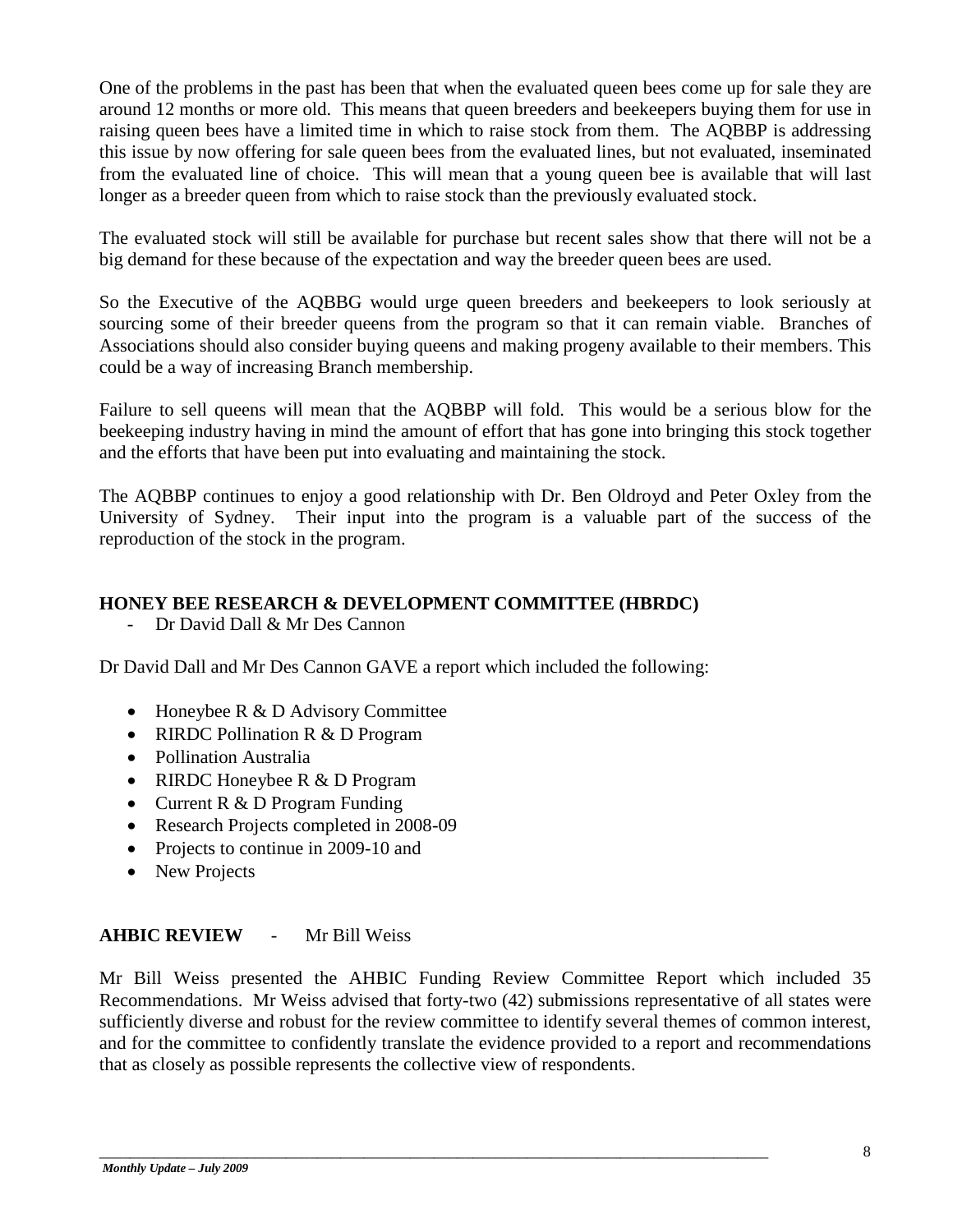One of the problems in the past has been that when the evaluated queen bees come up for sale they are around 12 months or more old. This means that queen breeders and beekeepers buying them for use in raising queen bees have a limited time in which to raise stock from them. The AQBBP is addressing this issue by now offering for sale queen bees from the evaluated lines, but not evaluated, inseminated from the evaluated line of choice. This will mean that a young queen bee is available that will last longer as a breeder queen from which to raise stock than the previously evaluated stock.

The evaluated stock will still be available for purchase but recent sales show that there will not be a big demand for these because of the expectation and way the breeder queen bees are used.

So the Executive of the AQBBG would urge queen breeders and beekeepers to look seriously at sourcing some of their breeder queens from the program so that it can remain viable. Branches of Associations should also consider buying queens and making progeny available to their members. This could be a way of increasing Branch membership.

Failure to sell queens will mean that the AQBBP will fold. This would be a serious blow for the beekeeping industry having in mind the amount of effort that has gone into bringing this stock together and the efforts that have been put into evaluating and maintaining the stock.

The AQBBP continues to enjoy a good relationship with Dr. Ben Oldroyd and Peter Oxley from the University of Sydney. Their input into the program is a valuable part of the success of the reproduction of the stock in the program.

### **HONEY BEE RESEARCH & DEVELOPMENT COMMITTEE (HBRDC)**

- Dr David Dall & Mr Des Cannon

Dr David Dall and Mr Des Cannon GAVE a report which included the following:

- Honeybee R & D Advisory Committee
- RIRDC Pollination R & D Program
- Pollination Australia
- RIRDC Honeybee R & D Program
- Current R & D Program Funding
- Research Projects completed in 2008-09
- Projects to continue in 2009-10 and
- New Projects

### **AHBIC REVIEW** - Mr Bill Weiss

Mr Bill Weiss presented the AHBIC Funding Review Committee Report which included 35 Recommendations. Mr Weiss advised that forty-two (42) submissions representative of all states were sufficiently diverse and robust for the review committee to identify several themes of common interest, and for the committee to confidently translate the evidence provided to a report and recommendations that as closely as possible represents the collective view of respondents.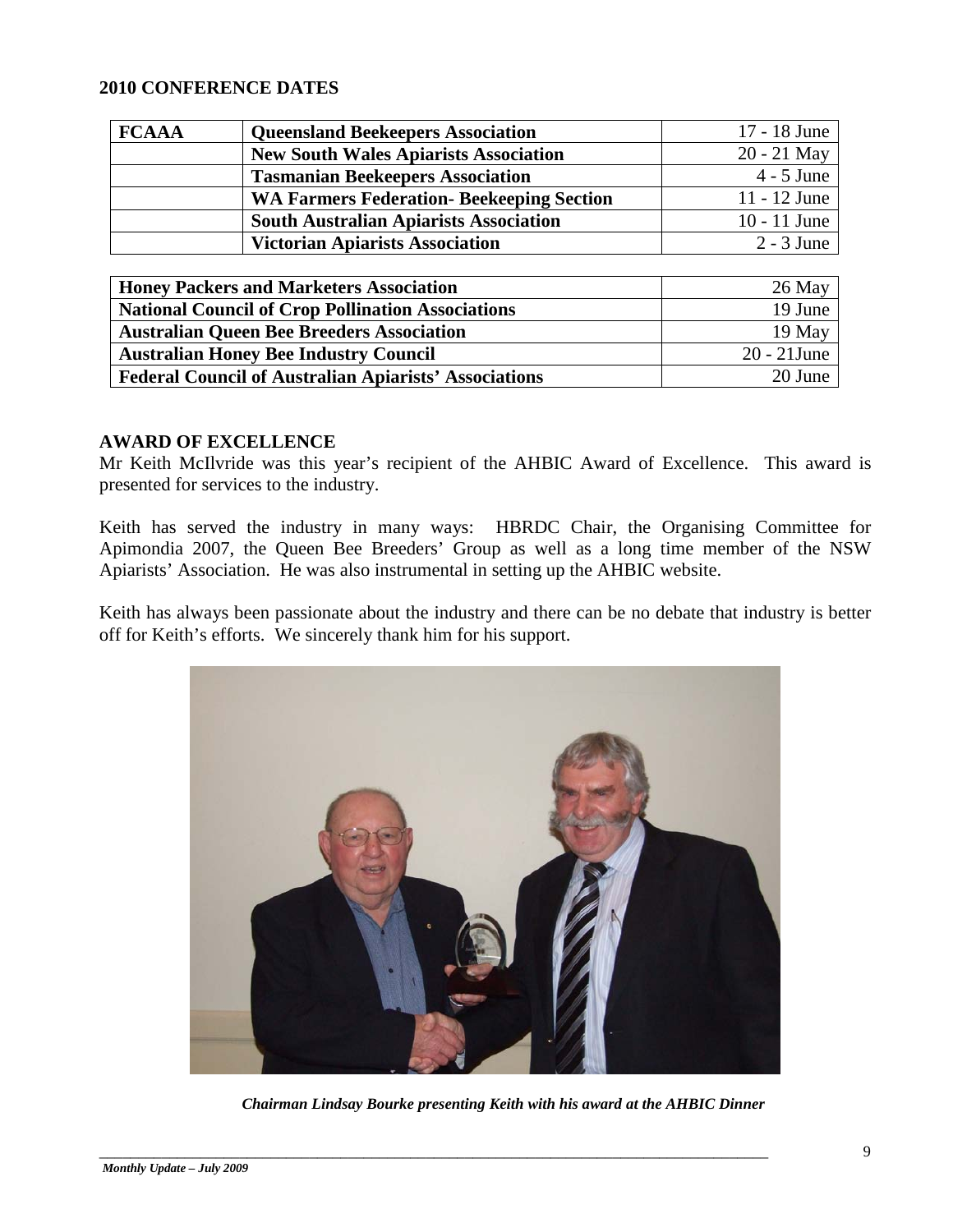#### **2010 CONFERENCE DATES**

| <b>FCAAA</b> | <b>Queensland Beekeepers Association</b>         | 17 - 18 June   |
|--------------|--------------------------------------------------|----------------|
|              | <b>New South Wales Apiarists Association</b>     | 20 - 21 May    |
|              | <b>Tasmanian Beekeepers Association</b>          | $4 - 5$ June   |
|              | <b>WA Farmers Federation- Beekeeping Section</b> | 11 - 12 June   |
|              | <b>South Australian Apiarists Association</b>    | $10 - 11$ June |
|              | <b>Victorian Apiarists Association</b>           | $2 - 3$ June   |

| <b>Honey Packers and Marketers Association</b>               | 26 May         |
|--------------------------------------------------------------|----------------|
| <b>National Council of Crop Pollination Associations</b>     | 19 June        |
| <b>Australian Queen Bee Breeders Association</b>             | 19 May         |
| <b>Australian Honey Bee Industry Council</b>                 | $20 - 21$ June |
| <b>Federal Council of Australian Apiarists' Associations</b> | 20 June        |

#### **AWARD OF EXCELLENCE**

Mr Keith McIlvride was this year's recipient of the AHBIC Award of Excellence. This award is presented for services to the industry.

Keith has served the industry in many ways: HBRDC Chair, the Organising Committee for Apimondia 2007, the Queen Bee Breeders' Group as well as a long time member of the NSW Apiarists' Association. He was also instrumental in setting up the AHBIC website.

Keith has always been passionate about the industry and there can be no debate that industry is better off for Keith's efforts. We sincerely thank him for his support.



*Chairman Lindsay Bourke presenting Keith with his award at the AHBIC Dinner*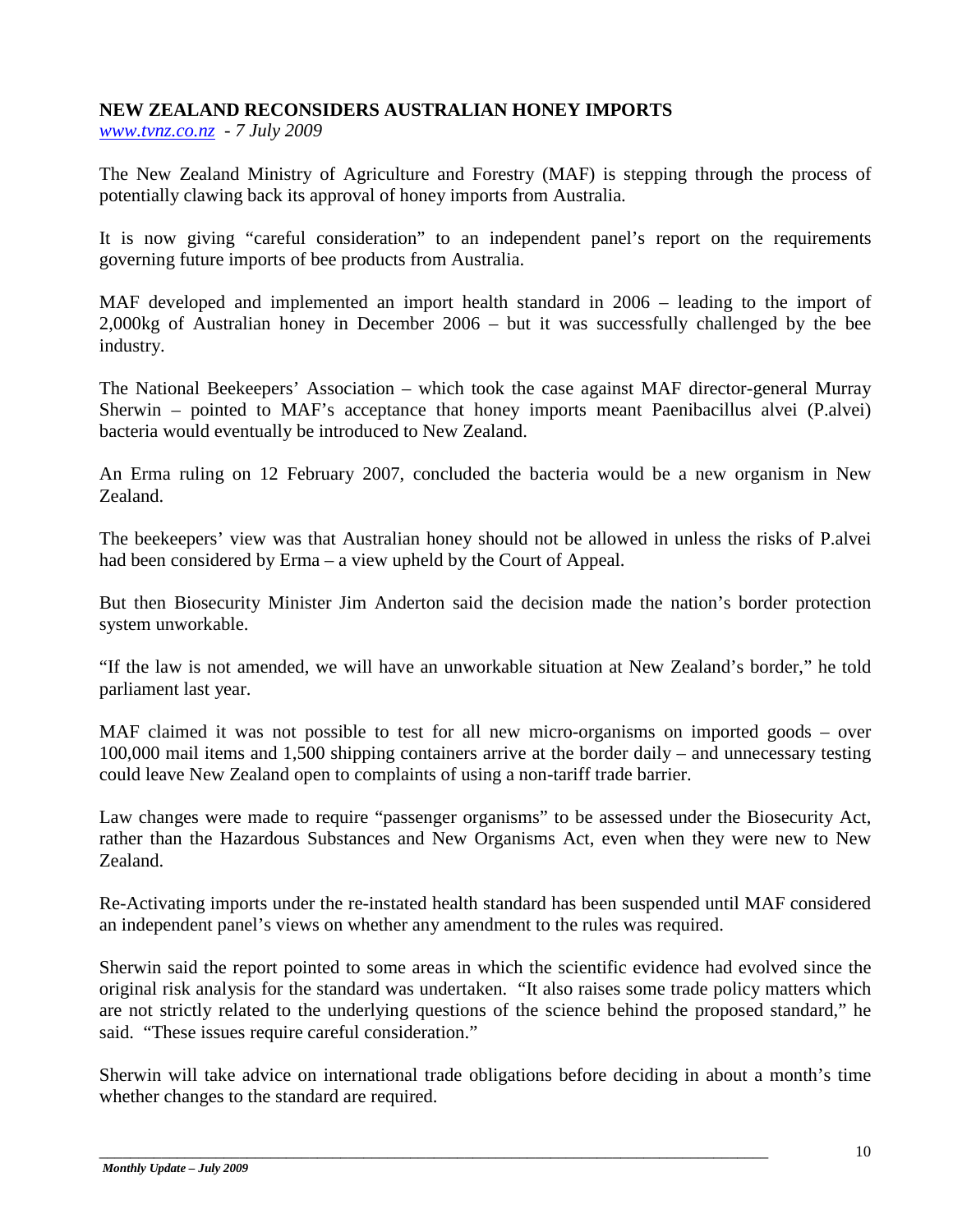## **NEW ZEALAND RECONSIDERS AUSTRALIAN HONEY IMPORTS**

*[www.tvnz.co.nz](http://www.tvnz.co.nz/) - 7 July 2009*

The New Zealand Ministry of Agriculture and Forestry (MAF) is stepping through the process of potentially clawing back its approval of honey imports from Australia.

It is now giving "careful consideration" to an independent panel's report on the requirements governing future imports of bee products from Australia.

MAF developed and implemented an import health standard in 2006 – leading to the import of 2,000kg of Australian honey in December 2006 – but it was successfully challenged by the bee industry.

The National Beekeepers' Association – which took the case against MAF director-general Murray Sherwin – pointed to MAF's acceptance that honey imports meant Paenibacillus alvei (P.alvei) bacteria would eventually be introduced to New Zealand.

An Erma ruling on 12 February 2007, concluded the bacteria would be a new organism in New Zealand.

The beekeepers' view was that Australian honey should not be allowed in unless the risks of P.alvei had been considered by Erma – a view upheld by the Court of Appeal.

But then Biosecurity Minister Jim Anderton said the decision made the nation's border protection system unworkable.

"If the law is not amended, we will have an unworkable situation at New Zealand's border," he told parliament last year.

MAF claimed it was not possible to test for all new micro-organisms on imported goods – over 100,000 mail items and 1,500 shipping containers arrive at the border daily – and unnecessary testing could leave New Zealand open to complaints of using a non-tariff trade barrier.

Law changes were made to require "passenger organisms" to be assessed under the Biosecurity Act, rather than the Hazardous Substances and New Organisms Act, even when they were new to New Zealand.

Re-Activating imports under the re-instated health standard has been suspended until MAF considered an independent panel's views on whether any amendment to the rules was required.

Sherwin said the report pointed to some areas in which the scientific evidence had evolved since the original risk analysis for the standard was undertaken. "It also raises some trade policy matters which are not strictly related to the underlying questions of the science behind the proposed standard," he said. "These issues require careful consideration."

Sherwin will take advice on international trade obligations before deciding in about a month's time whether changes to the standard are required.